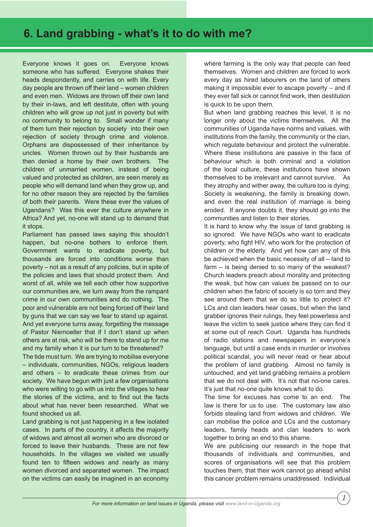## **6. Land grabbing - what's it to do with me?**

Everyone knows it goes on. Everyone knows someone who has suffered. Everyone shakes their heads despondently, and carries on with life. Every day people are thrown off their land – women children and even men. Widows are thrown off their own land by their in-laws, and left destitute, often with young children who will grow up not just in poverty but with no community to belong to. Small wonder if many of them turn their rejection by society into their own rejection of society through crime and violence. Orphans are dispossessed of their inheritance by uncles. Women thrown out by their husbands are then denied a home by their own brothers. The children of unmarried women, instead of being valued and protected as children, are seen merely as people who will demand land when they grow up, and for no other reason they are rejected by the families of both their parents. Were these ever the values of Ugandans? Was this ever the culture anywhere in Africa? And yet, no-one will stand up to demand that it stops.

Parliament has passed laws saying this shouldn't happen, but no-one bothers to enforce them. Government wants to eradicate poverty, but thousands are forced into conditions worse than poverty – not as a result of any policies, but in spite of the policies and laws that should protect them. And worst of all, while we tell each other how supportive our communities are, we turn away from the rampant crime in our own communities and do nothing. The poor and vulnerable are not being forced off their land by guns that we can say we fear to stand up against. And yet everyone turns away, forgetting the message of Pastor Niemoeller that if I don't stand up when others are at risk, who will be there to stand up for me and my family when it is our turn to be threatened?

The tide must turn. We are trying to mobilise everyone – individuals, communities, NGOs, religious leaders and others – to eradicate these crimes from our society. We have begun with just a few organisations who were willing to go with us into the villages to hear the stories of the victims, and to find out the facts about what has never been researched. What we found shocked us all.

Land grabbing is not just happening in a few isolated cases. In parts of the country, it affects the majority of widows and almost all women who are divorced or forced to leave their husbands. These are not few households. In the villages we visited we usually found ten to fifteen widows and nearly as many women divorced and separated women. The impact on the victims can easily be imagined in an economy

where farming is the only way that people can feed themselves. Women and children are forced to work every day as hired labourers on the land of others making it impossible ever to escape poverty – and if they ever fall sick or cannot find work, then destitution is quick to be upon them.

But when land grabbing reaches this level, it is no longer only about the victims themselves. All the communities of Uganda have norms and values, with institutions from the family, the community or the clan, which regulate behaviour and protect the vulnerable. Where these institutions are passive in the face of behaviour which is both criminal and a violation of the local culture, these institutions have shown themselves to be irrelevant and cannot survive. As they atrophy and wither away, the culture too is dying. Society is weakening, the family is breaking down, and even the real institution of marriage is being eroded. If anyone doubts it, they should go into the communities and listen to their stories.

It is hard to know why the issue of land grabbing is so ignored. We have NGOs who want to eradicate poverty, who fight HIV, who work for the protection of children or the elderly. And yet how can any of this be achieved when the basic necessity of all – land to farm – is being denied to so many of the weakest? Church leaders preach about morality and protecting the weak, but how can values be passed on to our children when the fabric of society is so torn and they see around them that we do so little to protect it? LCs and clan leaders hear cases, but when the land grabber ignores their rulings, they feel powerless and leave the victim to seek justice where they can find it at some out of reach Court. Uganda has hundreds of radio stations and newspapers in everyone's language, but until a case ends in murder or involves political scandal, you will never read or hear about the problem of land grabbing. Almost no family is untouched, and yet land grabbing remains a problem that we do not deal with. It's not that no-one cares. It's just that no-one quite knows what to do.

The time for excuses has come to an end. The law is there for us to use. The customary law also forbids stealing land from widows and children. We can mobilise the police and LCs and the customary leaders, family heads and clan leaders to work together to bring an end to this shame.

We are publicising our research in the hope that thousands of individuals and communities, and scores of organisations will see that this problem touches them, that their work cannot go ahead whilst this cancer problem remains unaddressed. Individual